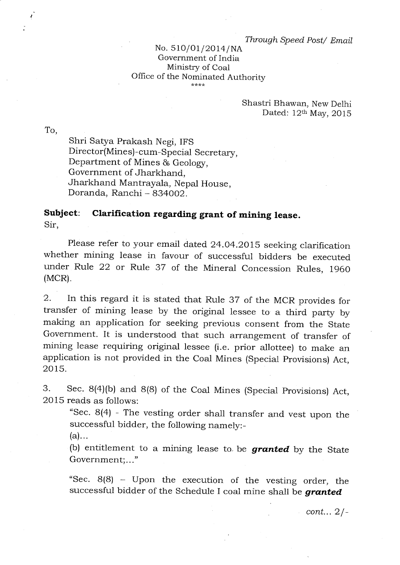## No. 510/01/2014/NA Government of India Ministry of Coal Office of the Nominated Authority

## Shastri Bhawan, New Delhi Dated: 12th May, 2015

To,

Shri Satya Prakash Negi, IFS Director(Mines)-cum-Special Secretary, Department of Mines & Geology, Government of Jharkhand, Jharkhand Mantrayala, Nepal House, Doranda, Ranchi - 834002.

## **Subject: Clarification regarding grant of mining lease.**  Sir,

Please refer to your email dated 24.04.2015 seeking clarification whether mining lease in favour of successful bidders be executed under Rule 22 or Rule 37 of the Mineral Concession Rules, 1960 (MCR).

2. In this regard it is stated that Rule 37 of the MCR provides for transfer of mining lease by the original lessee to a third party by making an application for seeking previous consent from the State Government. It is understood that such arrangement of transfer of mining lease requiring original lessee (i.e. prior allottee) to make an application is not provided in the Coal Mines (Special Provisions) Act, 2015.

3. Sec. 8(4)(b) and 8(8) of the Coal Mines (Special Provisions) Act, 2015 reads as follows:

"Sec. 8(4) - The vesting order shall transfer and vest upon the successful bidder, the following namely:-

 $(a)$ ...

(b) entitlement to a mining lease to, be *granted* by the State Government;..."

"Sec. 8(8) - Upon the execution of the vesting order, the successful bidder of the Schedule I coal mine shall be *granted* 

*cont...* 2 /-